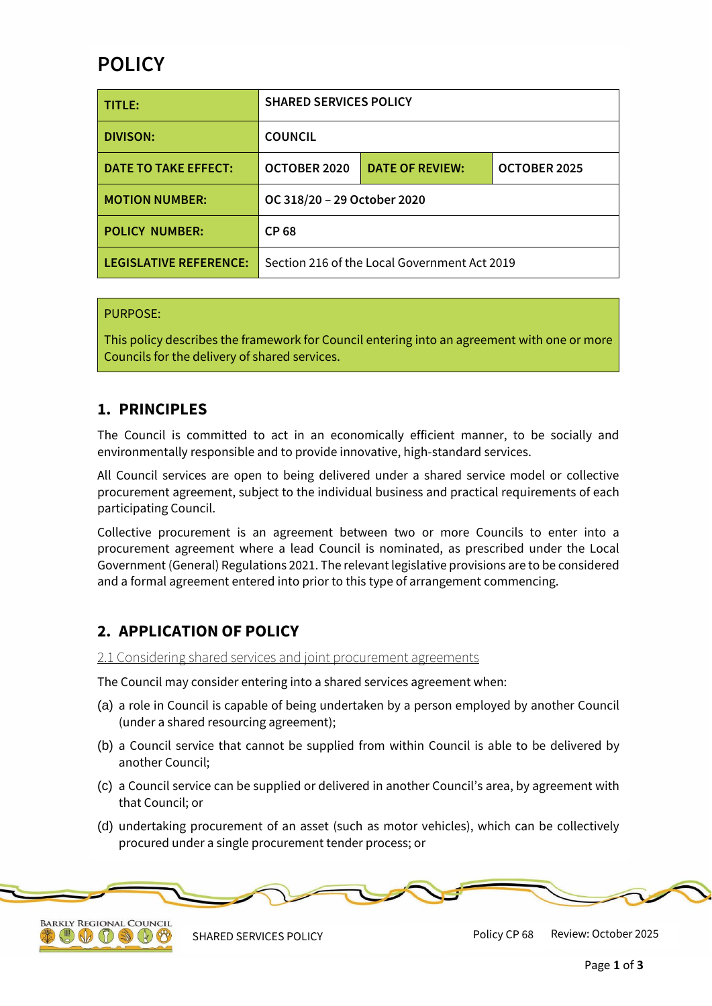# **POLICY**

| TITLE:                        | <b>SHARED SERVICES POLICY</b>                |                        |              |
|-------------------------------|----------------------------------------------|------------------------|--------------|
| <b>DIVISON:</b>               | <b>COUNCIL</b>                               |                        |              |
| DATE TO TAKE EFFECT:          | OCTOBER 2020                                 | <b>DATE OF REVIEW:</b> | OCTOBER 2025 |
| <b>MOTION NUMBER:</b>         | OC 318/20 - 29 October 2020                  |                        |              |
| <b>POLICY NUMBER:</b>         | CP 68                                        |                        |              |
| <b>LEGISLATIVE REFERENCE:</b> | Section 216 of the Local Government Act 2019 |                        |              |

### PURPOSE:

This policy describes the framework for Council entering into an agreement with one or more Councils for the delivery of shared services.

### **1. PRINCIPLES**

The Council is committed to act in an economically efficient manner, to be socially and environmentally responsible and to provide innovative, high-standard services.

All Council services are open to being delivered under a shared service model or collective procurement agreement, subject to the individual business and practical requirements of each participating Council.

Collective procurement is an agreement between two or more Councils to enter into a procurement agreement where a lead Council is nominated, as prescribed under the Local Government (General) Regulations 2021. The relevant legislative provisions are to be considered and a formal agreement entered into prior to this type of arrangement commencing.

### **2. APPLICATION OF POLICY**

2.1 Considering shared services and joint procurement agreements

The Council may consider entering into a shared services agreement when:

- (a) a role in Council is capable of being undertaken by a person employed by another Council (under a shared resourcing agreement);
- (b) a Council service that cannot be supplied from within Council is able to be delivered by another Council;
- (c) a Council service can be supplied or delivered in another Council's area, by agreement with that Council; or
- (d) undertaking procurement of an asset (such as motor vehicles), which can be collectively procured under a single procurement tender process; or





SHARED SERVICES POLICY **Policy CP 68** Review: October 2025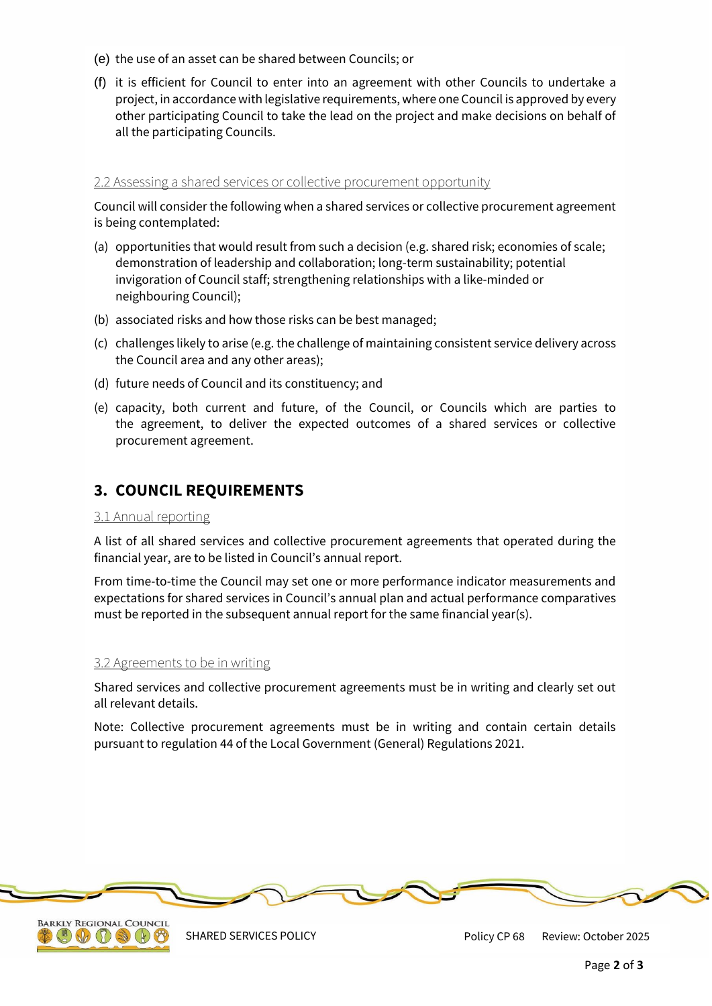- (e) the use of an asset can be shared between Councils; or
- (f) it is efficient for Council to enter into an agreement with other Councils to undertake a project, in accordance with legislative requirements, where one Council is approved by every other participating Council to take the lead on the project and make decisions on behalf of all the participating Councils.

### 2.2 Assessing a shared services or collective procurement opportunity

Council will consider the following when a shared services or collective procurement agreement is being contemplated:

- (a) opportunities that would result from such a decision (e.g. shared risk; economies of scale; demonstration of leadership and collaboration; long-term sustainability; potential invigoration of Council staff; strengthening relationships with a like-minded or neighbouring Council);
- (b) associated risks and how those risks can be best managed;
- (c) challenges likely to arise (e.g. the challenge of maintaining consistent service delivery across the Council area and any other areas);
- (d) future needs of Council and its constituency; and
- (e) capacity, both current and future, of the Council, or Councils which are parties to the agreement, to deliver the expected outcomes of a shared services or collective procurement agreement.

## **3. COUNCIL REQUIREMENTS**

#### 3.1 Annual reporting

A list of all shared services and collective procurement agreements that operated during the financial year, are to be listed in Council's annual report.

From time-to-time the Council may set one or more performance indicator measurements and expectations for shared services in Council's annual plan and actual performance comparatives must be reported in the subsequent annual report for the same financial year(s).

#### 3.2 Agreements to be in writing

Shared services and collective procurement agreements must be in writing and clearly set out all relevant details.

Note: Collective procurement agreements must be in writing and contain certain details pursuant to regulation 44 of the Local Government (General) Regulations 2021.





SHARED SERVICES POLICY THE REVIEW REVIEW Policy CP 68 Review: October 2025 Policy CP 68